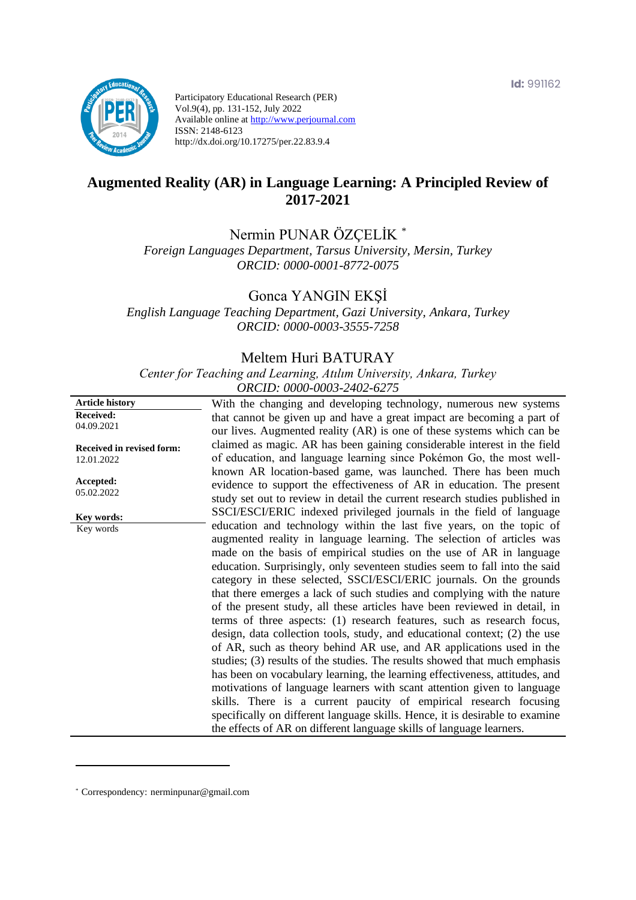**Id:** 991162



Participatory Educational Research (PER) Vol.9(4), pp. 131-152, July 2022 Available online at http://www.perjournal.com ISSN: 2148-6123 http://dx.doi.org/10.17275/per.22.83.9.4

# **Augmented Reality (AR) in Language Learning: A Principled Review of 2017-2021**

Nermin PUNAR ÖZÇELİK \*

*Foreign Languages Department, Tarsus University, Mersin, Turkey ORCID: 0000-0001-8772-0075*

Gonca YANGIN EKŞİ

*English Language Teaching Department, Gazi University, Ankara, Turkey ORCID: 0000-0003-3555-7258*

### Meltem Huri BATURAY

*Center for Teaching and Learning, Atılım University, Ankara, Turkey ORCID: 0000-0003-2402-6275*

| <b>Article history</b>                         | With the changing and developing technology, numerous new systems            |
|------------------------------------------------|------------------------------------------------------------------------------|
| <b>Received:</b>                               | that cannot be given up and have a great impact are becoming a part of       |
| 04.09.2021                                     | our lives. Augmented reality (AR) is one of these systems which can be       |
|                                                | claimed as magic. AR has been gaining considerable interest in the field     |
| <b>Received in revised form:</b><br>12.01.2022 | of education, and language learning since Pokémon Go, the most well-         |
|                                                | known AR location-based game, was launched. There has been much              |
| Accepted:                                      |                                                                              |
| 05.02.2022                                     | evidence to support the effectiveness of AR in education. The present        |
|                                                | study set out to review in detail the current research studies published in  |
| Key words:                                     | SSCI/ESCI/ERIC indexed privileged journals in the field of language          |
| Key words                                      | education and technology within the last five years, on the topic of         |
|                                                | augmented reality in language learning. The selection of articles was        |
|                                                | made on the basis of empirical studies on the use of AR in language          |
|                                                | education. Surprisingly, only seventeen studies seem to fall into the said   |
|                                                | category in these selected, SSCI/ESCI/ERIC journals. On the grounds          |
|                                                | that there emerges a lack of such studies and complying with the nature      |
|                                                | of the present study, all these articles have been reviewed in detail, in    |
|                                                | terms of three aspects: (1) research features, such as research focus,       |
|                                                | design, data collection tools, study, and educational context; (2) the use   |
|                                                | of AR, such as theory behind AR use, and AR applications used in the         |
|                                                | studies; (3) results of the studies. The results showed that much emphasis   |
|                                                |                                                                              |
|                                                | has been on vocabulary learning, the learning effectiveness, attitudes, and  |
|                                                | motivations of language learners with scant attention given to language      |
|                                                | skills. There is a current paucity of empirical research focusing            |
|                                                | specifically on different language skills. Hence, it is desirable to examine |
|                                                | the effects of AR on different language skills of language learners.         |

<sup>\*</sup> [Correspondency:](mailto:Correspondency:) nerminpunar@gmail.com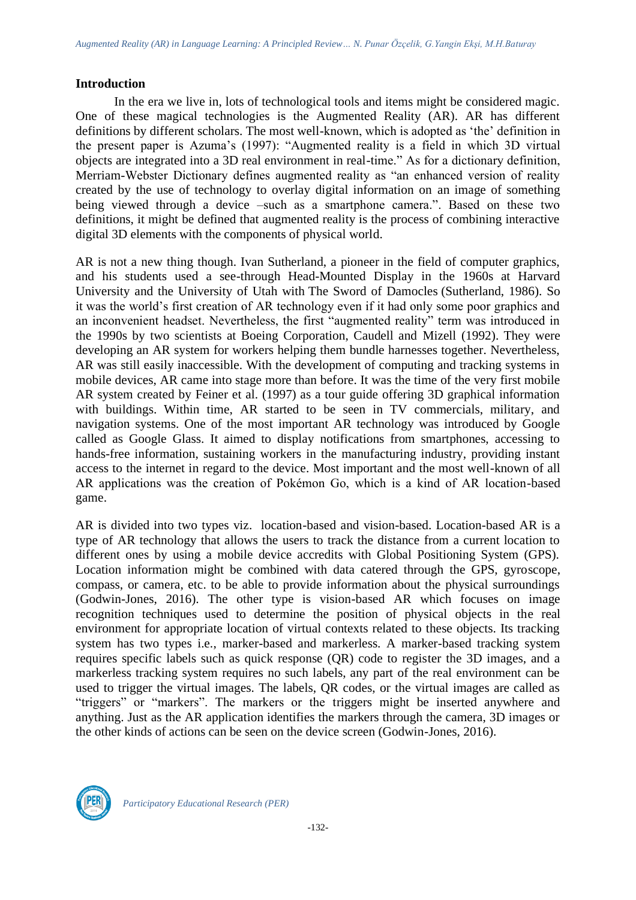#### **Introduction**

In the era we live in, lots of technological tools and items might be considered magic. One of these magical technologies is the Augmented Reality (AR). AR has different definitions by different scholars. The most well-known, which is adopted as 'the' definition in the present paper is Azuma's (1997): "Augmented reality is a field in which 3D virtual objects are integrated into a 3D real environment in real-time." As for a dictionary definition, Merriam-Webster Dictionary defines augmented reality as "an enhanced version of reality created by the use of technology to overlay digital information on an image of something being viewed through a device –such as a smartphone camera.". Based on these two definitions, it might be defined that augmented reality is the process of combining interactive digital 3D elements with the components of physical world.

AR is not a new thing though. Ivan Sutherland, a pioneer in the field of computer graphics, and his students used a see-through Head-Mounted Display in the 1960s at Harvard University and the University of Utah with The Sword of Damocles (Sutherland, 1986). So it was the world's first creation of AR technology even if it had only some poor graphics and an inconvenient headset. Nevertheless, the first "augmented reality" term was introduced in the 1990s by two scientists at Boeing Corporation, Caudell and Mizell (1992). They were developing an AR system for workers helping them bundle harnesses together. Nevertheless, AR was still easily inaccessible. With the development of computing and tracking systems in mobile devices, AR came into stage more than before. It was the time of the very first mobile AR system created by Feiner et al. (1997) as a tour guide offering 3D graphical information with buildings. Within time, AR started to be seen in TV commercials, military, and navigation systems. One of the most important AR technology was introduced by Google called as Google Glass. It aimed to display notifications from smartphones, accessing to hands-free information, sustaining workers in the manufacturing industry, providing instant access to the internet in regard to the device. Most important and the most well-known of all AR applications was the creation of Pokémon Go, which is a kind of AR location-based game.

AR is divided into two types viz. location-based and vision-based. Location-based AR is a type of AR technology that allows the users to track the distance from a current location to different ones by using a mobile device accredits with Global Positioning System (GPS). Location information might be combined with data catered through the GPS, gyroscope, compass, or camera, etc. to be able to provide information about the physical surroundings (Godwin-Jones, 2016). The other type is vision-based AR which focuses on image recognition techniques used to determine the position of physical objects in the real environment for appropriate location of virtual contexts related to these objects. Its tracking system has two types i.e., marker-based and markerless. A marker-based tracking system requires specific labels such as quick response (QR) code to register the 3D images, and a markerless tracking system requires no such labels, any part of the real environment can be used to trigger the virtual images. The labels, QR codes, or the virtual images are called as "triggers" or "markers". The markers or the triggers might be inserted anywhere and anything. Just as the AR application identifies the markers through the camera, 3D images or the other kinds of actions can be seen on the device screen (Godwin-Jones, 2016).

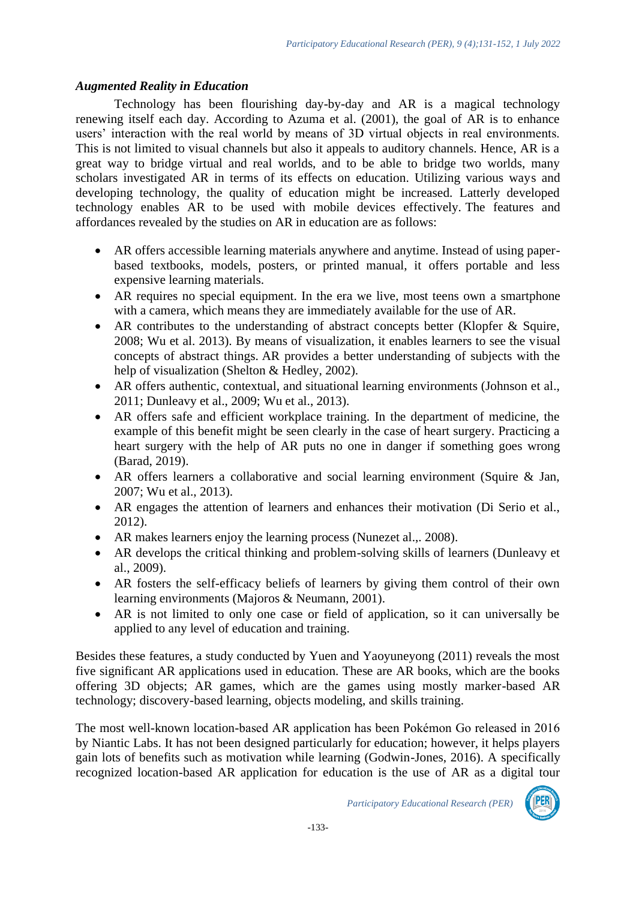#### *Augmented Reality in Education*

Technology has been flourishing day-by-day and AR is a magical technology renewing itself each day. According to Azuma et al. (2001), the goal of AR is to enhance users' interaction with the real world by means of 3D virtual objects in real environments. This is not limited to visual channels but also it appeals to auditory channels. Hence, AR is a great way to bridge virtual and real worlds, and to be able to bridge two worlds, many scholars investigated AR in terms of its effects on education. Utilizing various ways and developing technology, the quality of education might be increased. Latterly developed technology enables AR to be used with mobile devices effectively. The features and affordances revealed by the studies on AR in education are as follows:

- AR offers accessible learning materials anywhere and anytime. Instead of using paperbased textbooks, models, posters, or printed manual, it offers portable and less expensive learning materials.
- AR requires no special equipment. In the era we live, most teens own a smartphone with a camera, which means they are immediately available for the use of AR.
- AR contributes to the understanding of abstract concepts better (Klopfer & Squire, 2008; Wu et al. 2013). By means of visualization, it enables learners to see the visual concepts of abstract things. AR provides a better understanding of subjects with the help of visualization (Shelton & Hedley, 2002).
- AR offers authentic, contextual, and situational learning environments (Johnson et al., 2011; Dunleavy et al., 2009; Wu et al., 2013).
- AR offers safe and efficient workplace training. In the department of medicine, the example of this benefit might be seen clearly in the case of heart surgery. Practicing a heart surgery with the help of AR puts no one in danger if something goes wrong (Barad, 2019).
- AR offers learners a collaborative and social learning environment (Squire & Jan, 2007; Wu et al., 2013).
- AR engages the attention of learners and enhances their motivation (Di Serio et al., 2012).
- AR makes learners enjoy the learning process (Nunezet al.,. 2008).
- AR develops the critical thinking and problem-solving skills of learners (Dunleavy et al., 2009).
- AR fosters the self-efficacy beliefs of learners by giving them control of their own learning environments (Majoros & Neumann, 2001).
- AR is not limited to only one case or field of application, so it can universally be applied to any level of education and training.

Besides these features, a study conducted by Yuen and Yaoyuneyong (2011) reveals the most five significant AR applications used in education. These are AR books, which are the books offering 3D objects; AR games, which are the games using mostly marker-based AR technology; discovery-based learning, objects modeling, and skills training.

The most well-known location-based AR application has been Pokémon Go released in 2016 by Niantic Labs. It has not been designed particularly for education; however, it helps players gain lots of benefits such as motivation while learning (Godwin-Jones, 2016). A specifically recognized location-based AR application for education is the use of AR as a digital tour

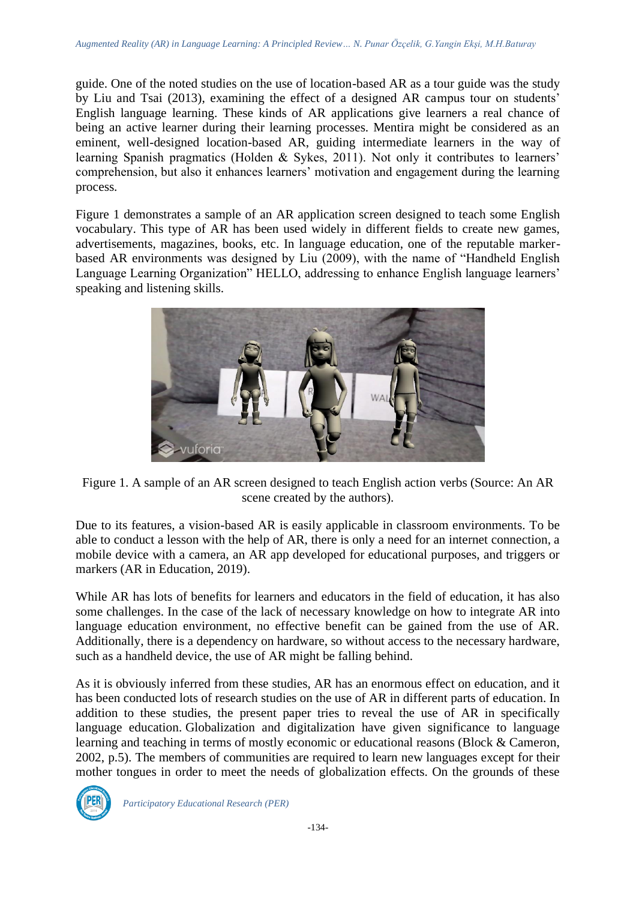guide. One of the noted studies on the use of location-based AR as a tour guide was the study by Liu and Tsai (2013), examining the effect of a designed AR campus tour on students' English language learning. These kinds of AR applications give learners a real chance of being an active learner during their learning processes. Mentira might be considered as an eminent, well-designed location-based AR, guiding intermediate learners in the way of learning Spanish pragmatics (Holden & Sykes, 2011). Not only it contributes to learners' comprehension, but also it enhances learners' motivation and engagement during the learning process.

Figure 1 demonstrates a sample of an AR application screen designed to teach some English vocabulary. This type of AR has been used widely in different fields to create new games, advertisements, magazines, books, etc. In language education, one of the reputable markerbased AR environments was designed by Liu (2009), with the name of "Handheld English Language Learning Organization" HELLO, addressing to enhance English language learners' speaking and listening skills.



Figure 1. A sample of an AR screen designed to teach English action verbs (Source: An AR scene created by the authors).

Due to its features, a vision-based AR is easily applicable in classroom environments. To be able to conduct a lesson with the help of AR, there is only a need for an internet connection, a mobile device with a camera, an AR app developed for educational purposes, and triggers or markers (AR in Education, 2019).

While AR has lots of benefits for learners and educators in the field of education, it has also some challenges. In the case of the lack of necessary knowledge on how to integrate AR into language education environment, no effective benefit can be gained from the use of AR. Additionally, there is a dependency on hardware, so without access to the necessary hardware, such as a handheld device, the use of AR might be falling behind.

As it is obviously inferred from these studies, AR has an enormous effect on education, and it has been conducted lots of research studies on the use of AR in different parts of education. In addition to these studies, the present paper tries to reveal the use of AR in specifically language education. Globalization and digitalization have given significance to language learning and teaching in terms of mostly economic or educational reasons (Block & Cameron, 2002, p.5). The members of communities are required to learn new languages except for their mother tongues in order to meet the needs of globalization effects. On the grounds of these

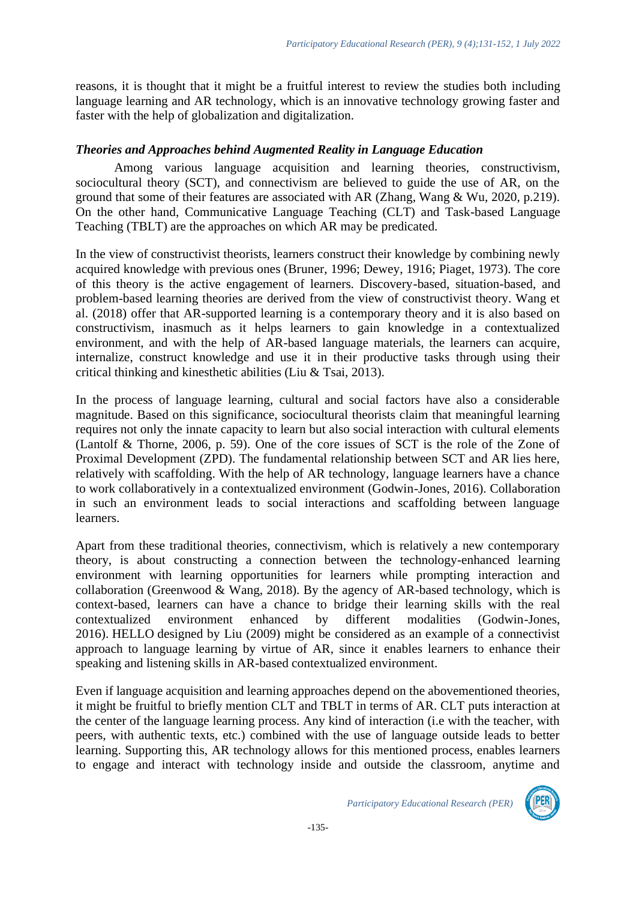reasons, it is thought that it might be a fruitful interest to review the studies both including language learning and AR technology, which is an innovative technology growing faster and faster with the help of globalization and digitalization.

### *Theories and Approaches behind Augmented Reality in Language Education*

Among various language acquisition and learning theories, constructivism, sociocultural theory (SCT), and connectivism are believed to guide the use of AR, on the ground that some of their features are associated with AR (Zhang, Wang & Wu, 2020, p.219). On the other hand, Communicative Language Teaching (CLT) and Task-based Language Teaching (TBLT) are the approaches on which AR may be predicated.

In the view of constructivist theorists, learners construct their knowledge by combining newly acquired knowledge with previous ones (Bruner, 1996; Dewey, 1916; Piaget, 1973). The core of this theory is the active engagement of learners. Discovery-based, situation-based, and problem-based learning theories are derived from the view of constructivist theory. Wang et al. (2018) offer that AR-supported learning is a contemporary theory and it is also based on constructivism, inasmuch as it helps learners to gain knowledge in a contextualized environment, and with the help of AR-based language materials, the learners can acquire, internalize, construct knowledge and use it in their productive tasks through using their critical thinking and kinesthetic abilities (Liu & Tsai, 2013).

In the process of language learning, cultural and social factors have also a considerable magnitude. Based on this significance, sociocultural theorists claim that meaningful learning requires not only the innate capacity to learn but also social interaction with cultural elements (Lantolf & Thorne, 2006, p. 59). One of the core issues of SCT is the role of the Zone of Proximal Development (ZPD). The fundamental relationship between SCT and AR lies here, relatively with scaffolding. With the help of AR technology, language learners have a chance to work collaboratively in a contextualized environment (Godwin-Jones, 2016). Collaboration in such an environment leads to social interactions and scaffolding between language learners.

Apart from these traditional theories, connectivism, which is relatively a new contemporary theory, is about constructing a connection between the technology-enhanced learning environment with learning opportunities for learners while prompting interaction and collaboration (Greenwood & Wang, 2018). By the agency of AR-based technology, which is context-based, learners can have a chance to bridge their learning skills with the real contextualized environment enhanced by different modalities (Godwin-Jones, 2016). HELLO designed by Liu (2009) might be considered as an example of a connectivist approach to language learning by virtue of AR, since it enables learners to enhance their speaking and listening skills in AR-based contextualized environment.

Even if language acquisition and learning approaches depend on the abovementioned theories, it might be fruitful to briefly mention CLT and TBLT in terms of AR. CLT puts interaction at the center of the language learning process. Any kind of interaction (i.e with the teacher, with peers, with authentic texts, etc.) combined with the use of language outside leads to better learning. Supporting this, AR technology allows for this mentioned process, enables learners to engage and interact with technology inside and outside the classroom, anytime and

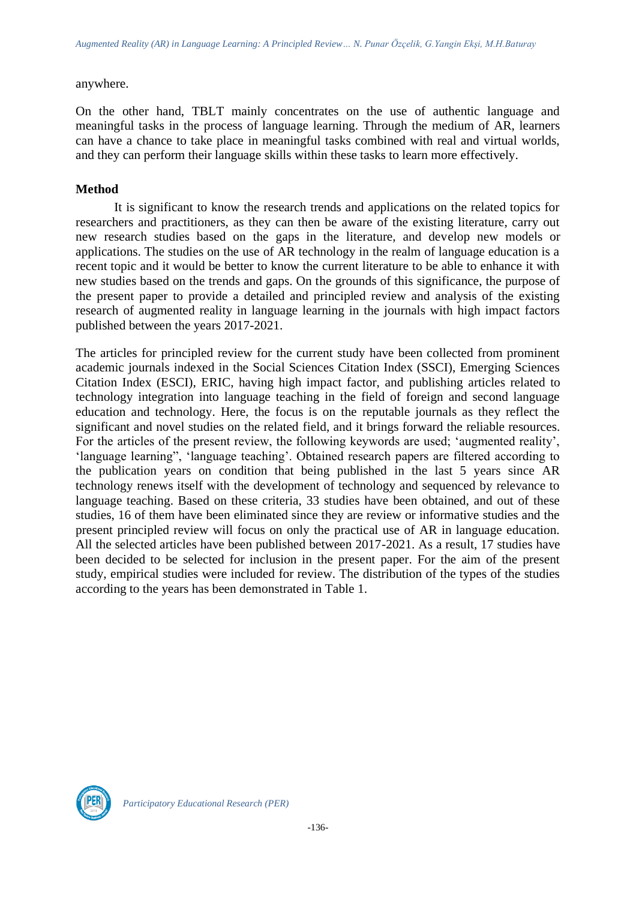anywhere.

On the other hand, TBLT mainly concentrates on the use of authentic language and meaningful tasks in the process of language learning. Through the medium of AR, learners can have a chance to take place in meaningful tasks combined with real and virtual worlds, and they can perform their language skills within these tasks to learn more effectively.

# **Method**

It is significant to know the research trends and applications on the related topics for researchers and practitioners, as they can then be aware of the existing literature, carry out new research studies based on the gaps in the literature, and develop new models or applications. The studies on the use of AR technology in the realm of language education is a recent topic and it would be better to know the current literature to be able to enhance it with new studies based on the trends and gaps. On the grounds of this significance, the purpose of the present paper to provide a detailed and principled review and analysis of the existing research of augmented reality in language learning in the journals with high impact factors published between the years 2017-2021.

The articles for principled review for the current study have been collected from prominent academic journals indexed in the Social Sciences Citation Index (SSCI), Emerging Sciences Citation Index (ESCI), ERIC, having high impact factor, and publishing articles related to technology integration into language teaching in the field of foreign and second language education and technology. Here, the focus is on the reputable journals as they reflect the significant and novel studies on the related field, and it brings forward the reliable resources. For the articles of the present review, the following keywords are used; 'augmented reality', 'language learning", 'language teaching'. Obtained research papers are filtered according to the publication years on condition that being published in the last 5 years since AR technology renews itself with the development of technology and sequenced by relevance to language teaching. Based on these criteria, 33 studies have been obtained, and out of these studies, 16 of them have been eliminated since they are review or informative studies and the present principled review will focus on only the practical use of AR in language education. All the selected articles have been published between 2017-2021. As a result, 17 studies have been decided to be selected for inclusion in the present paper. For the aim of the present study, empirical studies were included for review. The distribution of the types of the studies according to the years has been demonstrated in Table 1.

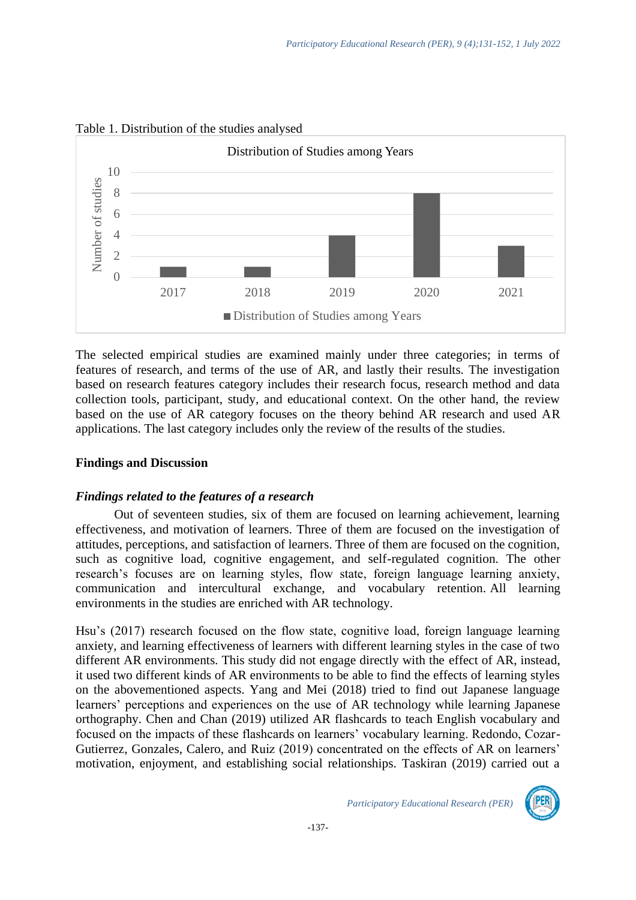

# Table 1. Distribution of the studies analysed

The selected empirical studies are examined mainly under three categories; in terms of features of research, and terms of the use of AR, and lastly their results. The investigation based on research features category includes their research focus, research method and data collection tools, participant, study, and educational context. On the other hand, the review based on the use of AR category focuses on the theory behind AR research and used AR applications. The last category includes only the review of the results of the studies.

# **Findings and Discussion**

# *Findings related to the features of a research*

Out of seventeen studies, six of them are focused on learning achievement, learning effectiveness, and motivation of learners. Three of them are focused on the investigation of attitudes, perceptions, and satisfaction of learners. Three of them are focused on the cognition, such as cognitive load, cognitive engagement, and self-regulated cognition. The other research's focuses are on learning styles, flow state, foreign language learning anxiety, communication and intercultural exchange, and vocabulary retention. All learning environments in the studies are enriched with AR technology.

Hsu's (2017) research focused on the flow state, cognitive load, foreign language learning anxiety, and learning effectiveness of learners with different learning styles in the case of two different AR environments. This study did not engage directly with the effect of AR, instead, it used two different kinds of AR environments to be able to find the effects of learning styles on the abovementioned aspects. Yang and Mei (2018) tried to find out Japanese language learners' perceptions and experiences on the use of AR technology while learning Japanese orthography. Chen and Chan (2019) utilized AR flashcards to teach English vocabulary and focused on the impacts of these flashcards on learners' vocabulary learning. Redondo, Cozar-Gutierrez, Gonzales, Calero, and Ruiz (2019) concentrated on the effects of AR on learners' motivation, enjoyment, and establishing social relationships. Taskiran (2019) carried out a

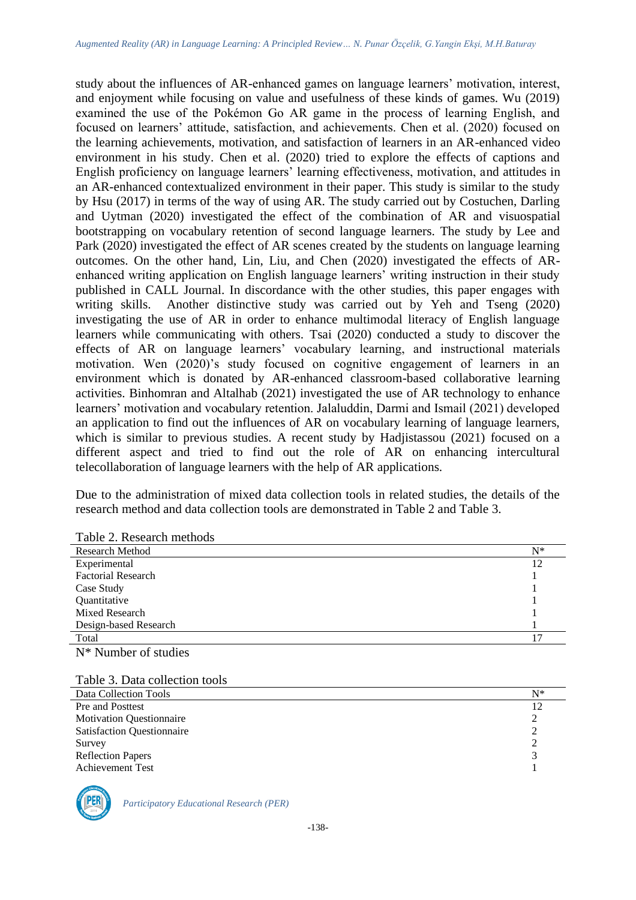study about the influences of AR-enhanced games on language learners' motivation, interest, and enjoyment while focusing on value and usefulness of these kinds of games. Wu (2019) examined the use of the Pokémon Go AR game in the process of learning English, and focused on learners' attitude, satisfaction, and achievements. Chen et al. (2020) focused on the learning achievements, motivation, and satisfaction of learners in an AR-enhanced video environment in his study. Chen et al. (2020) tried to explore the effects of captions and English proficiency on language learners' learning effectiveness, motivation, and attitudes in an AR-enhanced contextualized environment in their paper. This study is similar to the study by Hsu (2017) in terms of the way of using AR. The study carried out by Costuchen, Darling and Uytman (2020) investigated the effect of the combination of AR and visuospatial bootstrapping on vocabulary retention of second language learners. The study by Lee and Park (2020) investigated the effect of AR scenes created by the students on language learning outcomes. On the other hand, Lin, Liu, and Chen (2020) investigated the effects of ARenhanced writing application on English language learners' writing instruction in their study published in CALL Journal. In discordance with the other studies, this paper engages with writing skills. Another distinctive study was carried out by Yeh and Tseng (2020) investigating the use of AR in order to enhance multimodal literacy of English language learners while communicating with others. Tsai (2020) conducted a study to discover the effects of AR on language learners' vocabulary learning, and instructional materials motivation. Wen (2020)'s study focused on cognitive engagement of learners in an environment which is donated by AR-enhanced classroom-based collaborative learning activities. Binhomran and Altalhab (2021) investigated the use of AR technology to enhance learners' motivation and vocabulary retention. Jalaluddin, Darmi and Ismail (2021) developed an application to find out the influences of AR on vocabulary learning of language learners, which is similar to previous studies. A recent study by Hadjistassou (2021) focused on a different aspect and tried to find out the role of AR on enhancing intercultural telecollaboration of language learners with the help of AR applications.

Due to the administration of mixed data collection tools in related studies, the details of the research method and data collection tools are demonstrated in Table 2 and Table 3.

| $10010$ $\mu$ , robbin monoup |       |
|-------------------------------|-------|
| <b>Research Method</b>        | $N^*$ |
| Experimental                  | 12    |
| <b>Factorial Research</b>     |       |
| Case Study                    |       |
| Quantitative                  |       |
| Mixed Research                |       |
| Design-based Research         |       |
| Total                         | 17    |
| $N^*$ Number of studies       |       |

Table 2. Research methods

Table 3. Data collection tools

| Data Collection Tools                  | $N^*$ |
|----------------------------------------|-------|
| Pre and Posttest                       |       |
| <b>Motivation Questionnaire</b><br>∍   |       |
| <b>Satisfaction Questionnaire</b><br>ി |       |
| Survey                                 |       |
| <b>Reflection Papers</b>               |       |
| <b>Achievement Test</b>                |       |

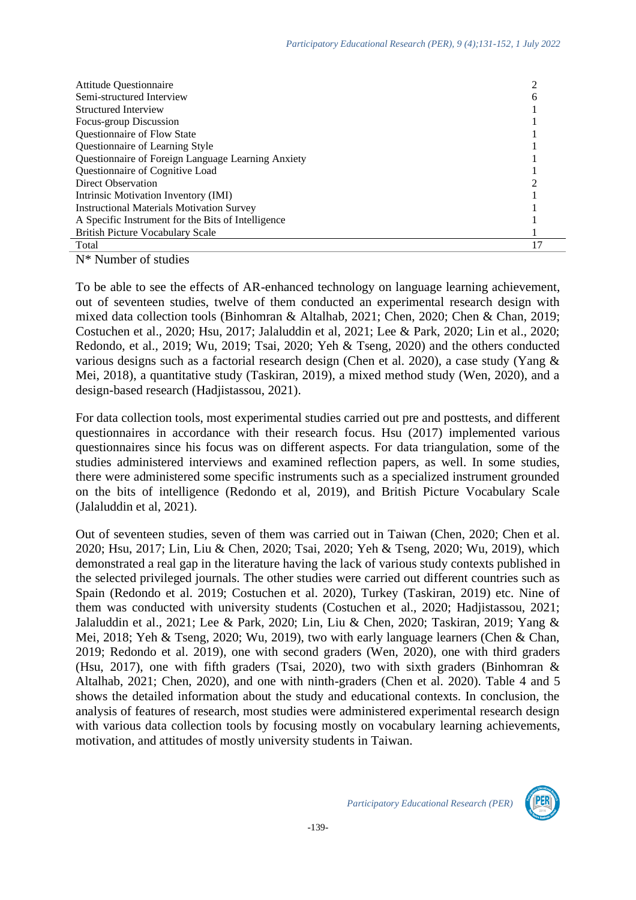| <b>Attitude Questionnaire</b>                      |   |
|----------------------------------------------------|---|
| Semi-structured Interview                          | h |
| Structured Interview                               |   |
| Focus-group Discussion                             |   |
| Questionnaire of Flow State                        |   |
| Questionnaire of Learning Style                    |   |
| Questionnaire of Foreign Language Learning Anxiety |   |
| Questionnaire of Cognitive Load                    |   |
| Direct Observation                                 |   |
| Intrinsic Motivation Inventory (IMI)               |   |
| <b>Instructional Materials Motivation Survey</b>   |   |
| A Specific Instrument for the Bits of Intelligence |   |
| <b>British Picture Vocabulary Scale</b>            |   |
| Total                                              |   |

N\* Number of studies

To be able to see the effects of AR-enhanced technology on language learning achievement, out of seventeen studies, twelve of them conducted an experimental research design with mixed data collection tools (Binhomran & Altalhab, 2021; Chen, 2020; Chen & Chan, 2019; Costuchen et al., 2020; Hsu, 2017; Jalaluddin et al, 2021; Lee & Park, 2020; Lin et al., 2020; Redondo, et al., 2019; Wu, 2019; Tsai, 2020; Yeh & Tseng, 2020) and the others conducted various designs such as a factorial research design (Chen et al. 2020), a case study (Yang & Mei, 2018), a quantitative study (Taskiran, 2019), a mixed method study (Wen, 2020), and a design-based research (Hadjistassou, 2021).

For data collection tools, most experimental studies carried out pre and posttests, and different questionnaires in accordance with their research focus. Hsu (2017) implemented various questionnaires since his focus was on different aspects. For data triangulation, some of the studies administered interviews and examined reflection papers, as well. In some studies, there were administered some specific instruments such as a specialized instrument grounded on the bits of intelligence (Redondo et al, 2019), and British Picture Vocabulary Scale (Jalaluddin et al, 2021).

Out of seventeen studies, seven of them was carried out in Taiwan (Chen, 2020; Chen et al. 2020; Hsu, 2017; Lin, Liu & Chen, 2020; Tsai, 2020; Yeh & Tseng, 2020; Wu, 2019), which demonstrated a real gap in the literature having the lack of various study contexts published in the selected privileged journals. The other studies were carried out different countries such as Spain (Redondo et al. 2019; Costuchen et al. 2020), Turkey (Taskiran, 2019) etc. Nine of them was conducted with university students (Costuchen et al., 2020; Hadjistassou, 2021; Jalaluddin et al., 2021; Lee & Park, 2020; Lin, Liu & Chen, 2020; Taskiran, 2019; Yang & Mei, 2018; Yeh & Tseng, 2020; Wu, 2019), two with early language learners (Chen & Chan, 2019; Redondo et al. 2019), one with second graders (Wen, 2020), one with third graders (Hsu, 2017), one with fifth graders (Tsai, 2020), two with sixth graders (Binhomran & Altalhab, 2021; Chen, 2020), and one with ninth-graders (Chen et al. 2020). Table 4 and 5 shows the detailed information about the study and educational contexts. In conclusion, the analysis of features of research, most studies were administered experimental research design with various data collection tools by focusing mostly on vocabulary learning achievements, motivation, and attitudes of mostly university students in Taiwan.

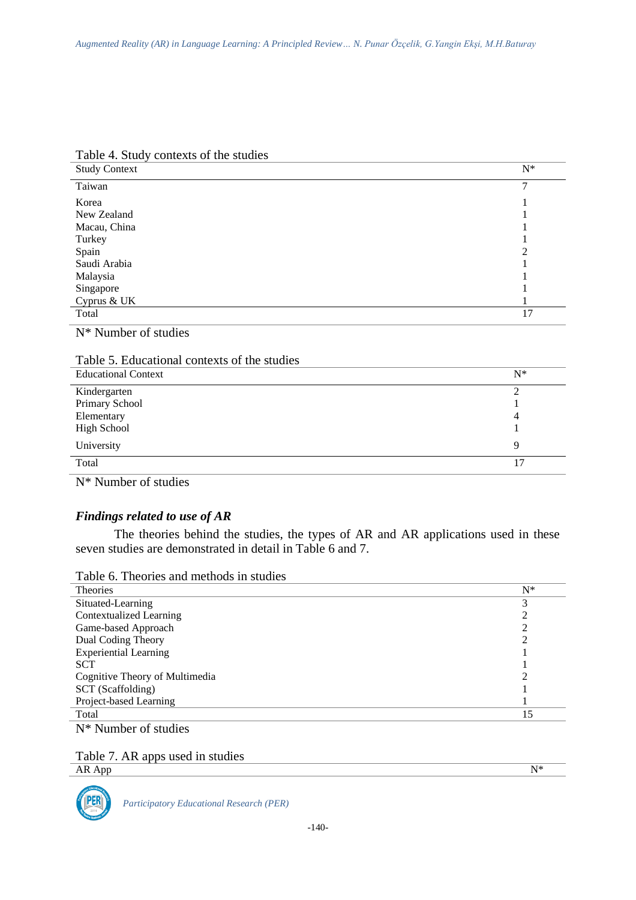| <b>Study Context</b> | $N^*$          |
|----------------------|----------------|
| Taiwan               |                |
| Korea                |                |
| New Zealand          |                |
| Macau, China         |                |
| Turkey               |                |
| Spain                | $\overline{2}$ |
| Saudi Arabia         |                |
| Malaysia             |                |
| Singapore            |                |
| Cyprus & UK          |                |
| Total                | 17             |

Table 4. Study contexts of the studies

N\* Number of studies

| Table 5. Educational contexts of the studies |  |  |  |
|----------------------------------------------|--|--|--|
|----------------------------------------------|--|--|--|

| <b>Educational Context</b>     | $N^*$ |
|--------------------------------|-------|
| Kindergarten<br>Primary School |       |
| Elementary                     | 4     |
| <b>High School</b>             |       |
| University                     | Q     |
| Total                          |       |
| $\sim$<br>$\sim$ $\sim$        |       |

N\* Number of studies

# *Findings related to use of AR*

The theories behind the studies, the types of AR and AR applications used in these seven studies are demonstrated in detail in Table 6 and 7.

Table 6. Theories and methods in studies

| <b>Theories</b>                | $N^*$ |
|--------------------------------|-------|
| Situated-Learning              | 3     |
| <b>Contextualized Learning</b> |       |
| Game-based Approach            |       |
| Dual Coding Theory             |       |
| <b>Experiential Learning</b>   |       |
| <b>SCT</b>                     |       |
| Cognitive Theory of Multimedia |       |
| SCT (Scaffolding)              |       |
| Project-based Learning         |       |
| Total                          | 15    |
| $N^*$ Number of studies        |       |

Table 7. AR apps used in studies

AR App  $N^*$ 

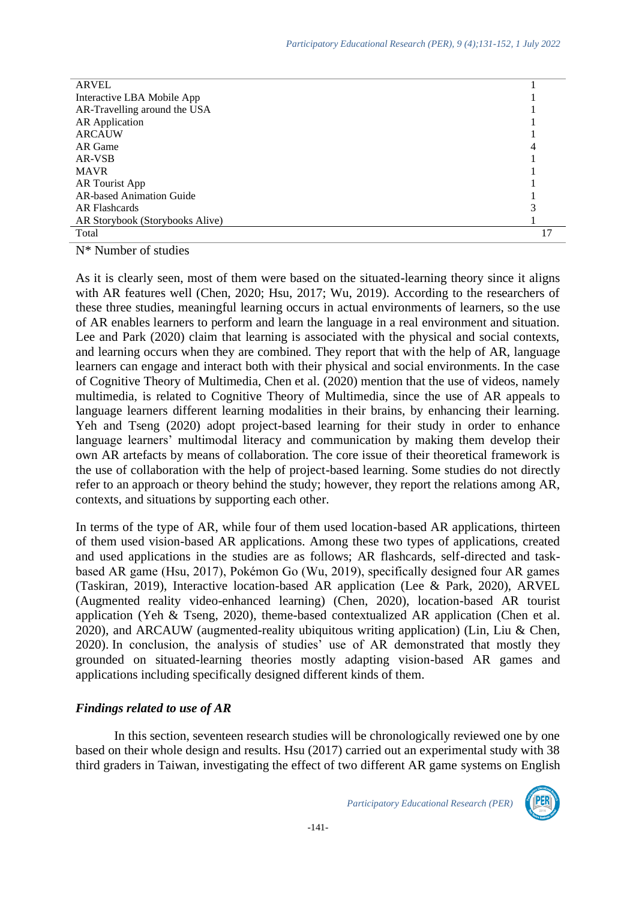| <b>ARVEL</b>                    |    |
|---------------------------------|----|
| Interactive LBA Mobile App      |    |
| AR-Travelling around the USA    |    |
| <b>AR</b> Application           |    |
| <b>ARCAUW</b>                   |    |
| AR Game                         | 4  |
| AR-VSB                          |    |
| <b>MAVR</b>                     |    |
| AR Tourist App                  |    |
| <b>AR-based Animation Guide</b> |    |
| AR Flashcards                   |    |
| AR Storybook (Storybooks Alive) |    |
| Total                           | 17 |
|                                 |    |

N\* Number of studies

As it is clearly seen, most of them were based on the situated-learning theory since it aligns with AR features well (Chen, 2020; Hsu, 2017; Wu, 2019). According to the researchers of these three studies, meaningful learning occurs in actual environments of learners, so the use of AR enables learners to perform and learn the language in a real environment and situation. Lee and Park (2020) claim that learning is associated with the physical and social contexts, and learning occurs when they are combined. They report that with the help of AR, language learners can engage and interact both with their physical and social environments. In the case of Cognitive Theory of Multimedia, Chen et al. (2020) mention that the use of videos, namely multimedia, is related to Cognitive Theory of Multimedia, since the use of AR appeals to language learners different learning modalities in their brains, by enhancing their learning. Yeh and Tseng (2020) adopt project-based learning for their study in order to enhance language learners' multimodal literacy and communication by making them develop their own AR artefacts by means of collaboration. The core issue of their theoretical framework is the use of collaboration with the help of project-based learning. Some studies do not directly refer to an approach or theory behind the study; however, they report the relations among AR, contexts, and situations by supporting each other.

In terms of the type of AR, while four of them used location-based AR applications, thirteen of them used vision-based AR applications. Among these two types of applications, created and used applications in the studies are as follows; AR flashcards, self-directed and taskbased AR game (Hsu, 2017), Pokémon Go (Wu, 2019), specifically designed four AR games (Taskiran, 2019), Interactive location-based AR application (Lee & Park, 2020), ARVEL (Augmented reality video-enhanced learning) (Chen, 2020), location-based AR tourist application (Yeh & Tseng, 2020), theme-based contextualized AR application (Chen et al. 2020), and ARCAUW (augmented-reality ubiquitous writing application) (Lin, Liu & Chen, 2020). In conclusion, the analysis of studies' use of AR demonstrated that mostly they grounded on situated-learning theories mostly adapting vision-based AR games and applications including specifically designed different kinds of them.

# *Findings related to use of AR*

In this section, seventeen research studies will be chronologically reviewed one by one based on their whole design and results. Hsu (2017) carried out an experimental study with 38 third graders in Taiwan, investigating the effect of two different AR game systems on English

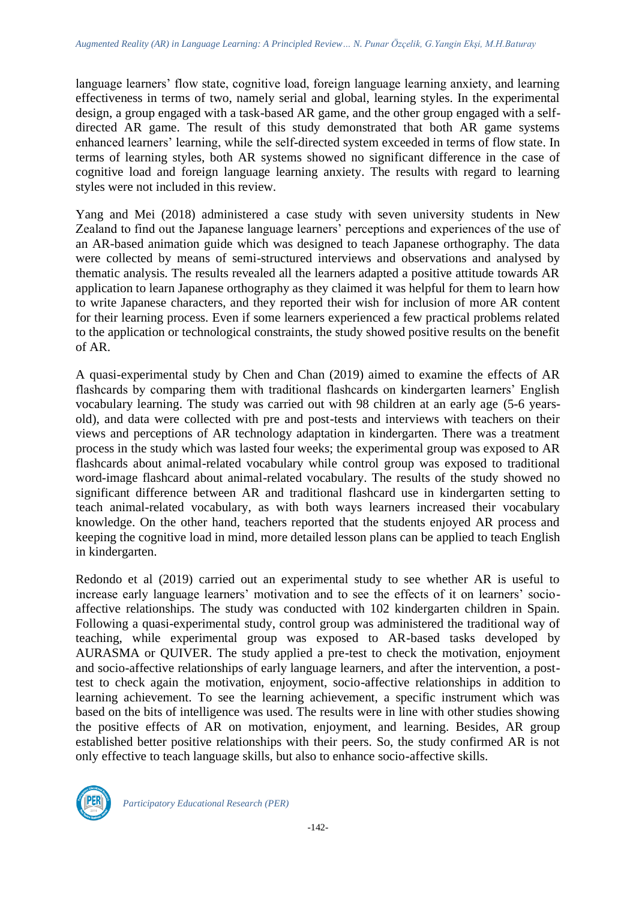language learners' flow state, cognitive load, foreign language learning anxiety, and learning effectiveness in terms of two, namely serial and global, learning styles. In the experimental design, a group engaged with a task-based AR game, and the other group engaged with a selfdirected AR game. The result of this study demonstrated that both AR game systems enhanced learners' learning, while the self-directed system exceeded in terms of flow state. In terms of learning styles, both AR systems showed no significant difference in the case of cognitive load and foreign language learning anxiety. The results with regard to learning styles were not included in this review.

Yang and Mei (2018) administered a case study with seven university students in New Zealand to find out the Japanese language learners' perceptions and experiences of the use of an AR-based animation guide which was designed to teach Japanese orthography. The data were collected by means of semi-structured interviews and observations and analysed by thematic analysis. The results revealed all the learners adapted a positive attitude towards AR application to learn Japanese orthography as they claimed it was helpful for them to learn how to write Japanese characters, and they reported their wish for inclusion of more AR content for their learning process. Even if some learners experienced a few practical problems related to the application or technological constraints, the study showed positive results on the benefit of AR.

A quasi-experimental study by Chen and Chan (2019) aimed to examine the effects of AR flashcards by comparing them with traditional flashcards on kindergarten learners' English vocabulary learning. The study was carried out with 98 children at an early age (5-6 yearsold), and data were collected with pre and post-tests and interviews with teachers on their views and perceptions of AR technology adaptation in kindergarten. There was a treatment process in the study which was lasted four weeks; the experimental group was exposed to AR flashcards about animal-related vocabulary while control group was exposed to traditional word-image flashcard about animal-related vocabulary. The results of the study showed no significant difference between AR and traditional flashcard use in kindergarten setting to teach animal-related vocabulary, as with both ways learners increased their vocabulary knowledge. On the other hand, teachers reported that the students enjoyed AR process and keeping the cognitive load in mind, more detailed lesson plans can be applied to teach English in kindergarten.

Redondo et al (2019) carried out an experimental study to see whether AR is useful to increase early language learners' motivation and to see the effects of it on learners' socioaffective relationships. The study was conducted with 102 kindergarten children in Spain. Following a quasi-experimental study, control group was administered the traditional way of teaching, while experimental group was exposed to AR-based tasks developed by AURASMA or QUIVER. The study applied a pre-test to check the motivation, enjoyment and socio-affective relationships of early language learners, and after the intervention, a posttest to check again the motivation, enjoyment, socio-affective relationships in addition to learning achievement. To see the learning achievement, a specific instrument which was based on the bits of intelligence was used. The results were in line with other studies showing the positive effects of AR on motivation, enjoyment, and learning. Besides, AR group established better positive relationships with their peers. So, the study confirmed AR is not only effective to teach language skills, but also to enhance socio-affective skills.

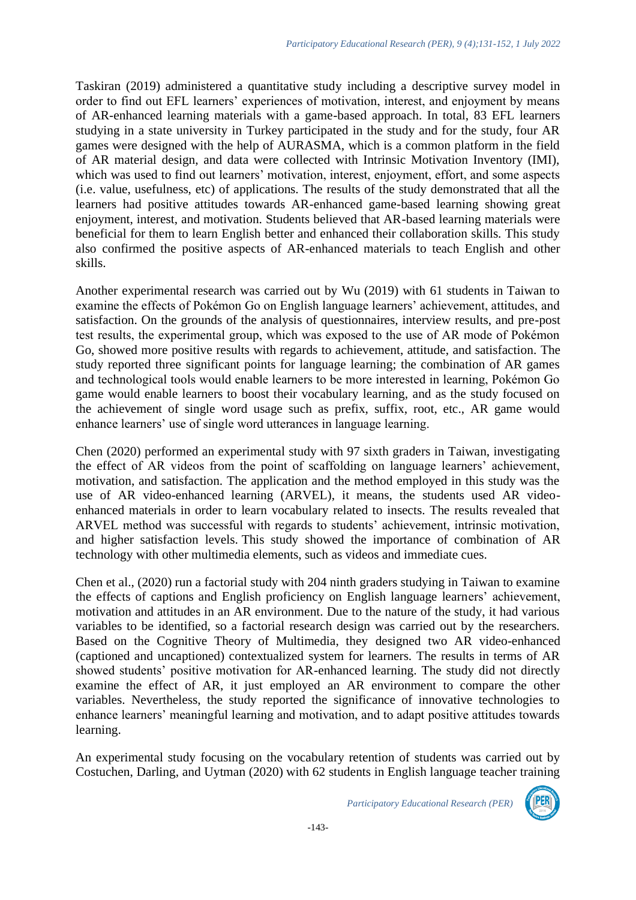Taskiran (2019) administered a quantitative study including a descriptive survey model in order to find out EFL learners' experiences of motivation, interest, and enjoyment by means of AR-enhanced learning materials with a game-based approach. In total, 83 EFL learners studying in a state university in Turkey participated in the study and for the study, four AR games were designed with the help of AURASMA, which is a common platform in the field of AR material design, and data were collected with Intrinsic Motivation Inventory (IMI), which was used to find out learners' motivation, interest, enjoyment, effort, and some aspects (i.e. value, usefulness, etc) of applications. The results of the study demonstrated that all the learners had positive attitudes towards AR-enhanced game-based learning showing great enjoyment, interest, and motivation. Students believed that AR-based learning materials were beneficial for them to learn English better and enhanced their collaboration skills. This study also confirmed the positive aspects of AR-enhanced materials to teach English and other skills.

Another experimental research was carried out by Wu (2019) with 61 students in Taiwan to examine the effects of Pokémon Go on English language learners' achievement, attitudes, and satisfaction. On the grounds of the analysis of questionnaires, interview results, and pre-post test results, the experimental group, which was exposed to the use of AR mode of Pokémon Go, showed more positive results with regards to achievement, attitude, and satisfaction. The study reported three significant points for language learning; the combination of AR games and technological tools would enable learners to be more interested in learning, Pokémon Go game would enable learners to boost their vocabulary learning, and as the study focused on the achievement of single word usage such as prefix, suffix, root, etc., AR game would enhance learners' use of single word utterances in language learning.

Chen (2020) performed an experimental study with 97 sixth graders in Taiwan, investigating the effect of AR videos from the point of scaffolding on language learners' achievement, motivation, and satisfaction. The application and the method employed in this study was the use of AR video-enhanced learning (ARVEL), it means, the students used AR videoenhanced materials in order to learn vocabulary related to insects. The results revealed that ARVEL method was successful with regards to students' achievement, intrinsic motivation, and higher satisfaction levels. This study showed the importance of combination of AR technology with other multimedia elements, such as videos and immediate cues.

Chen et al., (2020) run a factorial study with 204 ninth graders studying in Taiwan to examine the effects of captions and English proficiency on English language learners' achievement, motivation and attitudes in an AR environment. Due to the nature of the study, it had various variables to be identified, so a factorial research design was carried out by the researchers. Based on the Cognitive Theory of Multimedia, they designed two AR video-enhanced (captioned and uncaptioned) contextualized system for learners. The results in terms of AR showed students' positive motivation for AR-enhanced learning. The study did not directly examine the effect of AR, it just employed an AR environment to compare the other variables. Nevertheless, the study reported the significance of innovative technologies to enhance learners' meaningful learning and motivation, and to adapt positive attitudes towards learning.

An experimental study focusing on the vocabulary retention of students was carried out by Costuchen, Darling, and Uytman (2020) with 62 students in English language teacher training

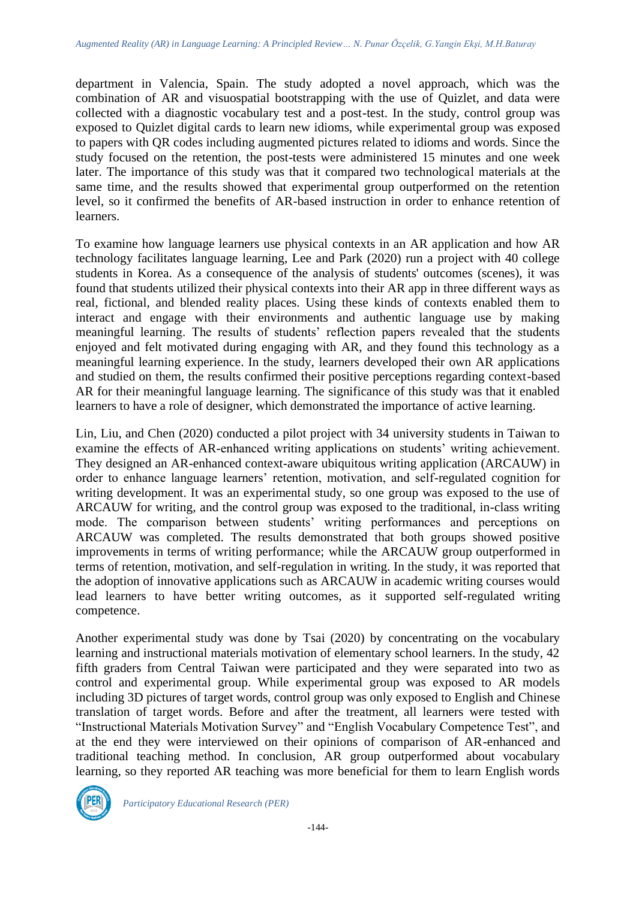department in Valencia, Spain. The study adopted a novel approach, which was the combination of AR and visuospatial bootstrapping with the use of Quizlet, and data were collected with a diagnostic vocabulary test and a post-test. In the study, control group was exposed to Quizlet digital cards to learn new idioms, while experimental group was exposed to papers with QR codes including augmented pictures related to idioms and words. Since the study focused on the retention, the post-tests were administered 15 minutes and one week later. The importance of this study was that it compared two technological materials at the same time, and the results showed that experimental group outperformed on the retention level, so it confirmed the benefits of AR-based instruction in order to enhance retention of learners.

To examine how language learners use physical contexts in an AR application and how AR technology facilitates language learning, Lee and Park (2020) run a project with 40 college students in Korea. As a consequence of the analysis of students' outcomes (scenes), it was found that students utilized their physical contexts into their AR app in three different ways as real, fictional, and blended reality places. Using these kinds of contexts enabled them to interact and engage with their environments and authentic language use by making meaningful learning. The results of students' reflection papers revealed that the students enjoyed and felt motivated during engaging with AR, and they found this technology as a meaningful learning experience. In the study, learners developed their own AR applications and studied on them, the results confirmed their positive perceptions regarding context-based AR for their meaningful language learning. The significance of this study was that it enabled learners to have a role of designer, which demonstrated the importance of active learning.

Lin, Liu, and Chen (2020) conducted a pilot project with 34 university students in Taiwan to examine the effects of AR-enhanced writing applications on students' writing achievement. They designed an AR-enhanced context-aware ubiquitous writing application (ARCAUW) in order to enhance language learners' retention, motivation, and self-regulated cognition for writing development. It was an experimental study, so one group was exposed to the use of ARCAUW for writing, and the control group was exposed to the traditional, in-class writing mode. The comparison between students' writing performances and perceptions on ARCAUW was completed. The results demonstrated that both groups showed positive improvements in terms of writing performance; while the ARCAUW group outperformed in terms of retention, motivation, and self-regulation in writing. In the study, it was reported that the adoption of innovative applications such as ARCAUW in academic writing courses would lead learners to have better writing outcomes, as it supported self-regulated writing competence.

Another experimental study was done by Tsai (2020) by concentrating on the vocabulary learning and instructional materials motivation of elementary school learners. In the study, 42 fifth graders from Central Taiwan were participated and they were separated into two as control and experimental group. While experimental group was exposed to AR models including 3D pictures of target words, control group was only exposed to English and Chinese translation of target words. Before and after the treatment, all learners were tested with "Instructional Materials Motivation Survey" and "English Vocabulary Competence Test", and at the end they were interviewed on their opinions of comparison of AR-enhanced and traditional teaching method. In conclusion, AR group outperformed about vocabulary learning, so they reported AR teaching was more beneficial for them to learn English words

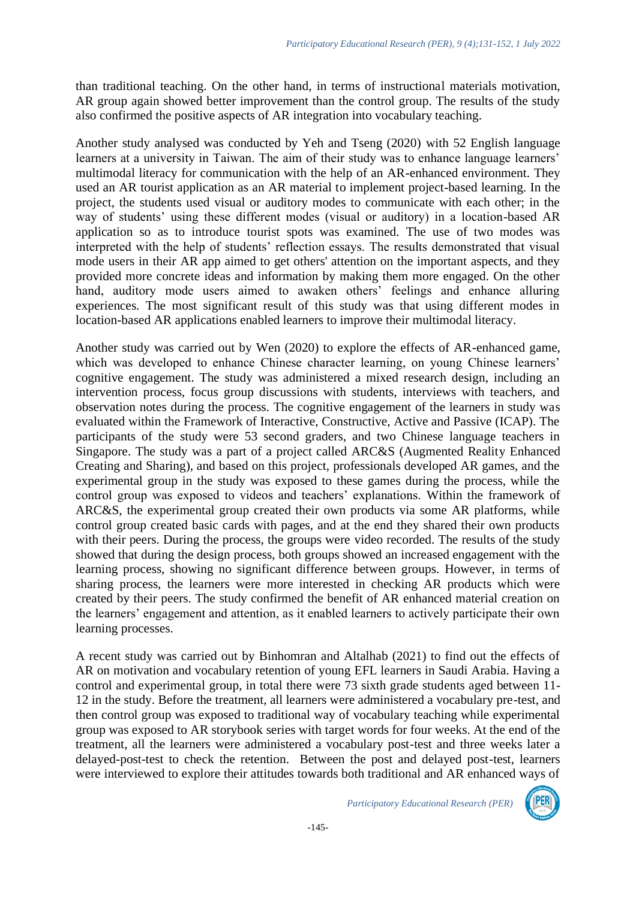than traditional teaching. On the other hand, in terms of instructional materials motivation, AR group again showed better improvement than the control group. The results of the study also confirmed the positive aspects of AR integration into vocabulary teaching.

Another study analysed was conducted by Yeh and Tseng (2020) with 52 English language learners at a university in Taiwan. The aim of their study was to enhance language learners' multimodal literacy for communication with the help of an AR-enhanced environment. They used an AR tourist application as an AR material to implement project-based learning. In the project, the students used visual or auditory modes to communicate with each other; in the way of students' using these different modes (visual or auditory) in a location-based AR application so as to introduce tourist spots was examined. The use of two modes was interpreted with the help of students' reflection essays. The results demonstrated that visual mode users in their AR app aimed to get others' attention on the important aspects, and they provided more concrete ideas and information by making them more engaged. On the other hand, auditory mode users aimed to awaken others' feelings and enhance alluring experiences. The most significant result of this study was that using different modes in location-based AR applications enabled learners to improve their multimodal literacy.

Another study was carried out by Wen (2020) to explore the effects of AR-enhanced game, which was developed to enhance Chinese character learning, on young Chinese learners' cognitive engagement. The study was administered a mixed research design, including an intervention process, focus group discussions with students, interviews with teachers, and observation notes during the process. The cognitive engagement of the learners in study was evaluated within the Framework of Interactive, Constructive, Active and Passive (ICAP). The participants of the study were 53 second graders, and two Chinese language teachers in Singapore. The study was a part of a project called ARC&S (Augmented Reality Enhanced Creating and Sharing), and based on this project, professionals developed AR games, and the experimental group in the study was exposed to these games during the process, while the control group was exposed to videos and teachers' explanations. Within the framework of ARC&S, the experimental group created their own products via some AR platforms, while control group created basic cards with pages, and at the end they shared their own products with their peers. During the process, the groups were video recorded. The results of the study showed that during the design process, both groups showed an increased engagement with the learning process, showing no significant difference between groups. However, in terms of sharing process, the learners were more interested in checking AR products which were created by their peers. The study confirmed the benefit of AR enhanced material creation on the learners' engagement and attention, as it enabled learners to actively participate their own learning processes.

A recent study was carried out by Binhomran and Altalhab (2021) to find out the effects of AR on motivation and vocabulary retention of young EFL learners in Saudi Arabia. Having a control and experimental group, in total there were 73 sixth grade students aged between 11- 12 in the study. Before the treatment, all learners were administered a vocabulary pre-test, and then control group was exposed to traditional way of vocabulary teaching while experimental group was exposed to AR storybook series with target words for four weeks. At the end of the treatment, all the learners were administered a vocabulary post-test and three weeks later a delayed-post-test to check the retention. Between the post and delayed post-test, learners were interviewed to explore their attitudes towards both traditional and AR enhanced ways of

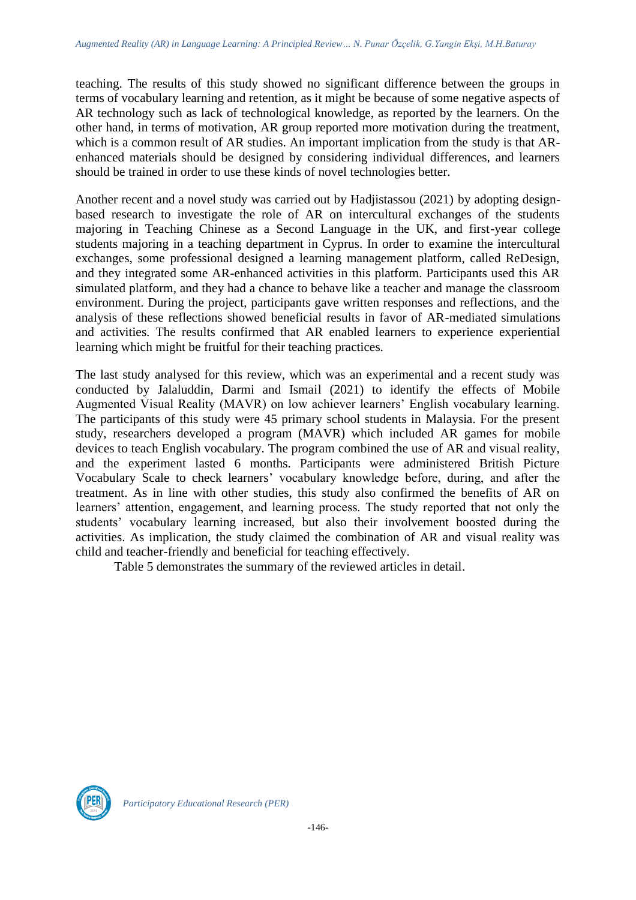teaching. The results of this study showed no significant difference between the groups in terms of vocabulary learning and retention, as it might be because of some negative aspects of AR technology such as lack of technological knowledge, as reported by the learners. On the other hand, in terms of motivation, AR group reported more motivation during the treatment, which is a common result of AR studies. An important implication from the study is that ARenhanced materials should be designed by considering individual differences, and learners should be trained in order to use these kinds of novel technologies better.

Another recent and a novel study was carried out by Hadjistassou (2021) by adopting designbased research to investigate the role of AR on intercultural exchanges of the students majoring in Teaching Chinese as a Second Language in the UK, and first-year college students majoring in a teaching department in Cyprus. In order to examine the intercultural exchanges, some professional designed a learning management platform, called ReDesign, and they integrated some AR-enhanced activities in this platform. Participants used this AR simulated platform, and they had a chance to behave like a teacher and manage the classroom environment. During the project, participants gave written responses and reflections, and the analysis of these reflections showed beneficial results in favor of AR-mediated simulations and activities. The results confirmed that AR enabled learners to experience experiential learning which might be fruitful for their teaching practices.

The last study analysed for this review, which was an experimental and a recent study was conducted by Jalaluddin, Darmi and Ismail (2021) to identify the effects of Mobile Augmented Visual Reality (MAVR) on low achiever learners' English vocabulary learning. The participants of this study were 45 primary school students in Malaysia. For the present study, researchers developed a program (MAVR) which included AR games for mobile devices to teach English vocabulary. The program combined the use of AR and visual reality, and the experiment lasted 6 months. Participants were administered British Picture Vocabulary Scale to check learners' vocabulary knowledge before, during, and after the treatment. As in line with other studies, this study also confirmed the benefits of AR on learners' attention, engagement, and learning process. The study reported that not only the students' vocabulary learning increased, but also their involvement boosted during the activities. As implication, the study claimed the combination of AR and visual reality was child and teacher-friendly and beneficial for teaching effectively.

Table 5 demonstrates the summary of the reviewed articles in detail.

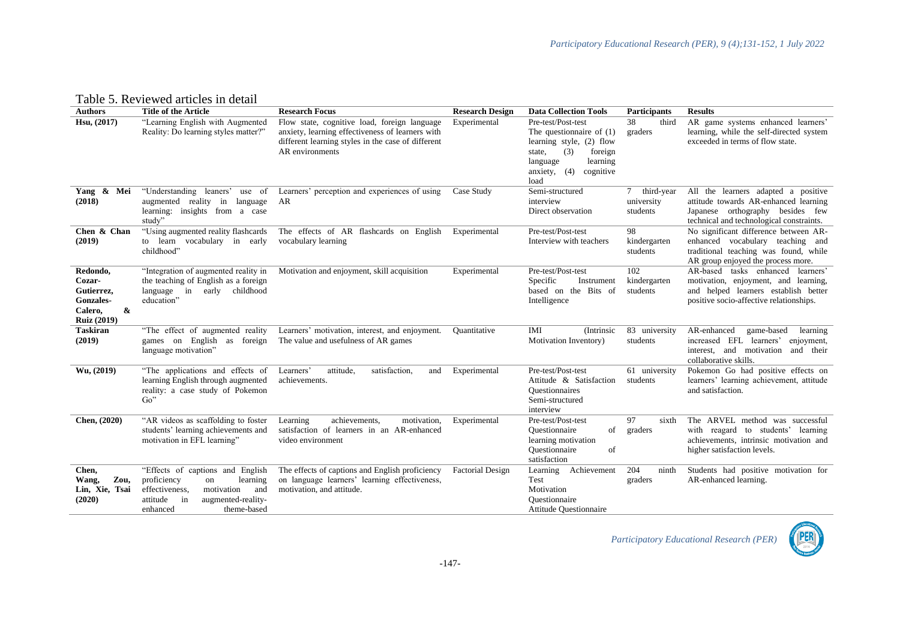Table 5. Reviewed articles in detail

| <b>Authors</b>                                                                      | <b>Title of the Article</b>                                                                                                                                                 | <b>Research Focus</b>                                                                                                                                                     | <b>Research Design</b>  | <b>Data Collection Tools</b>                                                                                                                                            | <b>Participants</b>                                 | <b>Results</b>                                                                                                                                               |
|-------------------------------------------------------------------------------------|-----------------------------------------------------------------------------------------------------------------------------------------------------------------------------|---------------------------------------------------------------------------------------------------------------------------------------------------------------------------|-------------------------|-------------------------------------------------------------------------------------------------------------------------------------------------------------------------|-----------------------------------------------------|--------------------------------------------------------------------------------------------------------------------------------------------------------------|
| Hsu, (2017)                                                                         | "Learning English with Augmented<br>Reality: Do learning styles matter?"                                                                                                    | Flow state, cognitive load, foreign language<br>anxiety, learning effectiveness of learners with<br>different learning styles in the case of different<br>AR environments | Experimental            | Pre-test/Post-test<br>The questionnaire of $(1)$<br>learning style, (2) flow<br>(3)<br>foreign<br>state,<br>learning<br>language<br>anxiety, $(4)$<br>cognitive<br>load | 38<br>third<br>graders                              | AR game systems enhanced learners'<br>learning, while the self-directed system<br>exceeded in terms of flow state.                                           |
| Yang & Mei<br>(2018)                                                                | "Understanding leaners"<br>use of<br>augmented reality in language<br>learning: insights from a case<br>study"                                                              | Learners' perception and experiences of using<br>AR                                                                                                                       | Case Study              | Semi-structured<br>interview<br>Direct observation                                                                                                                      | $7^{\circ}$<br>third-year<br>university<br>students | All the learners adapted a positive<br>attitude towards AR-enhanced learning<br>Japanese orthography besides few<br>technical and technological constraints. |
| Chen & Chan<br>(2019)                                                               | "Using augmented reality flashcards"<br>to learn vocabulary in early<br>childhood"                                                                                          | The effects of AR flashcards on English<br>vocabulary learning                                                                                                            | Experimental            | Pre-test/Post-test<br>Interview with teachers                                                                                                                           | 98<br>kindergarten<br>students                      | No significant difference between AR-<br>enhanced vocabulary teaching and<br>traditional teaching was found, while<br>AR group enjoyed the process more.     |
| Redondo,<br>Cozar-<br>Gutierrez,<br>Gonzales-<br>&<br>Calero.<br><b>Ruiz (2019)</b> | "Integration of augmented reality in<br>the teaching of English as a foreign<br>language in early childhood<br>education"                                                   | Motivation and enjoyment, skill acquisition                                                                                                                               | Experimental            | Pre-test/Post-test<br>Specific<br>Instrument<br>based on the Bits of<br>Intelligence                                                                                    | 102<br>kindergarten<br>students                     | AR-based tasks enhanced learners'<br>motivation, enjoyment, and learning,<br>and helped learners establish better<br>positive socio-affective relationships. |
| <b>Taskiran</b><br>(2019)                                                           | "The effect of augmented reality"<br>games on English as foreign<br>language motivation"                                                                                    | Learners' motivation, interest, and enjoyment.<br>The value and usefulness of AR games                                                                                    | Quantitative            | IMI<br>(Intrinsic)<br>Motivation Inventory)                                                                                                                             | 83 university<br>students                           | AR-enhanced<br>game-based<br>learning<br>increased EFL learners'<br>enjoyment,<br>interest, and motivation<br>and their<br>collaborative skills.             |
| Wu, (2019)                                                                          | "The applications and effects of<br>learning English through augmented<br>reality: a case study of Pokemon<br>$Go$ "                                                        | Learners'<br>attitude,<br>satisfaction,<br>and<br>achievements.                                                                                                           | Experimental            | Pre-test/Post-test<br>Attitude & Satisfaction<br><b>Ouestionnaires</b><br>Semi-structured<br>interview                                                                  | 61 university<br>students                           | Pokemon Go had positive effects on<br>learners' learning achievement, attitude<br>and satisfaction.                                                          |
| Chen, (2020)                                                                        | "AR videos as scaffolding to foster<br>students' learning achievements and<br>motivation in EFL learning"                                                                   | achievements,<br>motivation,<br>Learning<br>satisfaction of learners in an AR-enhanced<br>video environment                                                               | Experimental            | Pre-test/Post-test<br>Ouestionnaire<br>of<br>learning motivation<br>Ouestionnaire<br>of<br>satisfaction                                                                 | 97<br>sixth<br>graders                              | The ARVEL method was successful<br>with reagard to students' learning<br>achievements, intrinsic motivation and<br>higher satisfaction levels.               |
| Chen,<br>Zou,<br>Wang,<br>Lin, Xie, Tsai<br>(2020)                                  | "Effects of captions and English<br>proficiency<br>learning<br>on<br>effectiveness.<br>motivation<br>and<br>in<br>attitude<br>augmented-reality-<br>theme-based<br>enhanced | The effects of captions and English proficiency<br>on language learners' learning effectiveness,<br>motivation, and attitude.                                             | <b>Factorial Design</b> | Achievement<br>Learning<br>Test<br>Motivation<br>Questionnaire<br><b>Attitude Questionnaire</b>                                                                         | 204<br>ninth<br>graders                             | Students had positive motivation for<br>AR-enhanced learning.                                                                                                |

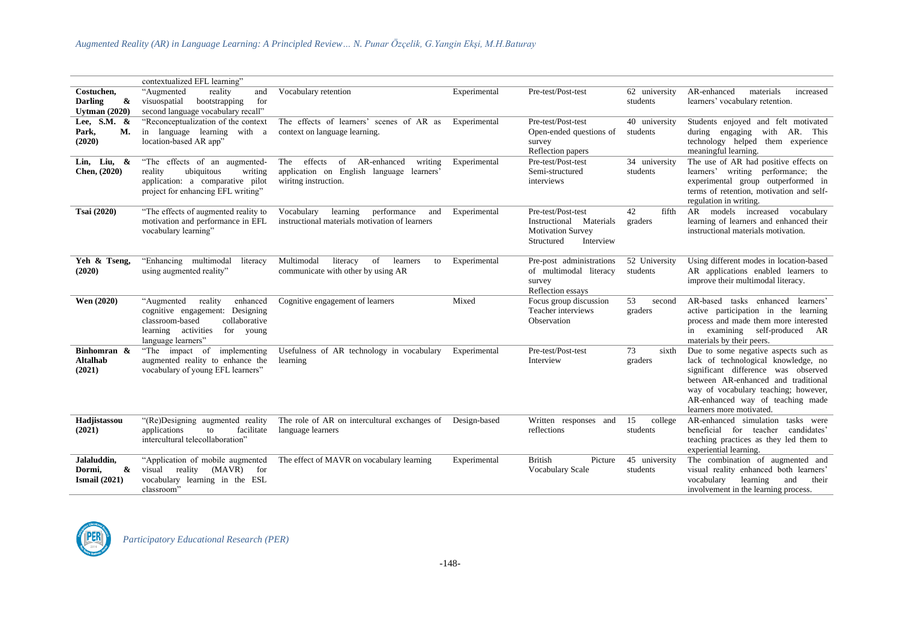|                                                           | contextualized EFL learning"                                                                                                                                           |                                                                                                                  |              |                                                                                                         |                           |                                                                                                                                                                                                                                                                   |
|-----------------------------------------------------------|------------------------------------------------------------------------------------------------------------------------------------------------------------------------|------------------------------------------------------------------------------------------------------------------|--------------|---------------------------------------------------------------------------------------------------------|---------------------------|-------------------------------------------------------------------------------------------------------------------------------------------------------------------------------------------------------------------------------------------------------------------|
| Costuchen,<br><b>Darling</b><br>&<br><b>Uvtman (2020)</b> | "Augmented<br>reality<br>and<br>visuospatial<br>bootstrapping<br>for<br>second language vocabulary recall"                                                             | Vocabulary retention                                                                                             | Experimental | Pre-test/Post-test                                                                                      | 62 university<br>students | materials<br>AR-enhanced<br>increased<br>learners' vocabulary retention.                                                                                                                                                                                          |
| Lee, S.M. &<br>Park,<br>М.<br>(2020)                      | "Reconceptualization of the context<br>in language learning with a<br>location-based AR app"                                                                           | The effects of learners' scenes of AR as<br>context on language learning.                                        | Experimental | Pre-test/Post-test<br>Open-ended questions of<br>survey<br>Reflection papers                            | 40 university<br>students | Students enjoyed and felt motivated<br>during engaging<br>with AR. This<br>technology helped them experience<br>meaningful learning.                                                                                                                              |
| Lin, Liu, $\&$<br>Chen, (2020)                            | "The effects of an augmented-<br>ubiquitous<br>writing<br>reality<br>application: a comparative pilot<br>project for enhancing EFL writing"                            | effects<br>of AR-enhanced<br>writing<br>The<br>application on English language learners'<br>wiritng instruction. | Experimental | Pre-test/Post-test<br>Semi-structured<br>interviews                                                     | 34 university<br>students | The use of AR had positive effects on<br>learners' writing performance; the<br>experimental group outperformed in<br>terms of retention, motivation and self-<br>regulation in writing.                                                                           |
| Tsai (2020)                                               | "The effects of augmented reality to<br>motivation and performance in EFL<br>vocabulary learning"                                                                      | Vocabulary<br>learning<br>performance<br>and<br>instructional materials motivation of learners                   | Experimental | Pre-test/Post-test<br>Instructional<br>Materials<br><b>Motivation Survey</b><br>Structured<br>Interview | 42<br>fifth<br>graders    | models increased vocabulary<br>AR<br>learning of learners and enhanced their<br>instructional materials motivation.                                                                                                                                               |
| Yeh & Tseng,<br>(2020)                                    | "Enhancing multimodal"<br>literacy<br>using augmented reality"                                                                                                         | Multimodal<br>literacy<br>of<br>learners<br>to<br>communicate with other by using AR                             | Experimental | Pre-post administrations<br>of multimodal literacy<br>survey<br>Reflection essays                       | 52 University<br>students | Using different modes in location-based<br>AR applications enabled learners to<br>improve their multimodal literacy.                                                                                                                                              |
| Wen (2020)                                                | reality<br>enhanced<br>"Augmented"<br>cognitive engagement: Designing<br>classroom-based<br>collaborative<br>learning activities<br>for<br>young<br>language learners" | Cognitive engagement of learners                                                                                 | Mixed        | Focus group discussion<br>Teacher interviews<br>Observation                                             | 53<br>second<br>graders   | AR-based tasks enhanced<br>learners'<br>active participation in the learning<br>process and made them more interested<br>in examining self-produced AR<br>materials by their peers.                                                                               |
| Binhomran &<br><b>Altalhab</b><br>(2021)                  | "The impact of implementing<br>augmented reality to enhance the<br>vocabulary of young EFL learners"                                                                   | Usefulness of AR technology in vocabulary<br>learning                                                            | Experimental | Pre-test/Post-test<br>Interview                                                                         | 73<br>sixth<br>graders    | Due to some negative aspects such as<br>lack of technological knowledge, no<br>significant difference was observed<br>between AR-enhanced and traditional<br>way of vocabulary teaching; however,<br>AR-enhanced way of teaching made<br>learners more motivated. |
| Hadjistassou<br>(2021)                                    | "(Re)Designing augmented reality<br>applications<br>facilitate<br>to<br>intercultural telecollaboration"                                                               | The role of AR on intercultural exchanges of<br>language learners                                                | Design-based | Written responses and<br>reflections                                                                    | 15<br>college<br>students | AR-enhanced simulation tasks were<br>beneficial for teacher candidates'<br>teaching practices as they led them to<br>experiential learning.                                                                                                                       |
| Jalaluddin,<br>Dormi,<br>&<br>Ismail $(2021)$             | "Application of mobile augmented<br>reality<br>$(MAVR)$ for<br>visual<br>vocabulary learning in the ESL<br>classroom"                                                  | The effect of MAVR on vocabulary learning                                                                        | Experimental | <b>British</b><br>Picture<br>Vocabulary Scale                                                           | 45 university<br>students | The combination of augmented and<br>visual reality enhanced both learners'<br>vocabulary<br>learning<br>and<br>their<br>involvement in the learning process.                                                                                                      |

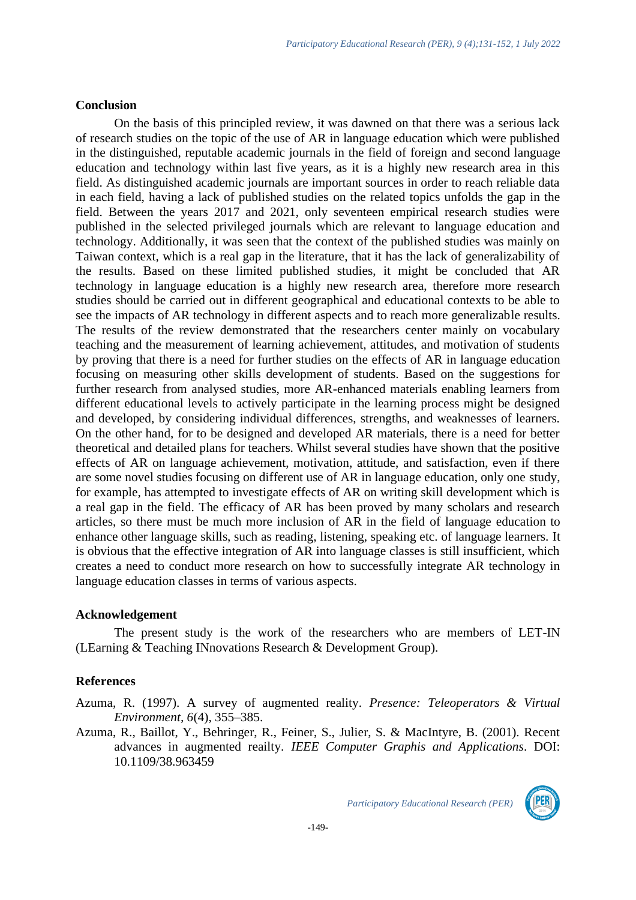#### **Conclusion**

On the basis of this principled review, it was dawned on that there was a serious lack of research studies on the topic of the use of AR in language education which were published in the distinguished, reputable academic journals in the field of foreign and second language education and technology within last five years, as it is a highly new research area in this field. As distinguished academic journals are important sources in order to reach reliable data in each field, having a lack of published studies on the related topics unfolds the gap in the field. Between the years 2017 and 2021, only seventeen empirical research studies were published in the selected privileged journals which are relevant to language education and technology. Additionally, it was seen that the context of the published studies was mainly on Taiwan context, which is a real gap in the literature, that it has the lack of generalizability of the results. Based on these limited published studies, it might be concluded that AR technology in language education is a highly new research area, therefore more research studies should be carried out in different geographical and educational contexts to be able to see the impacts of AR technology in different aspects and to reach more generalizable results. The results of the review demonstrated that the researchers center mainly on vocabulary teaching and the measurement of learning achievement, attitudes, and motivation of students by proving that there is a need for further studies on the effects of AR in language education focusing on measuring other skills development of students. Based on the suggestions for further research from analysed studies, more AR-enhanced materials enabling learners from different educational levels to actively participate in the learning process might be designed and developed, by considering individual differences, strengths, and weaknesses of learners. On the other hand, for to be designed and developed AR materials, there is a need for better theoretical and detailed plans for teachers. Whilst several studies have shown that the positive effects of AR on language achievement, motivation, attitude, and satisfaction, even if there are some novel studies focusing on different use of AR in language education, only one study, for example, has attempted to investigate effects of AR on writing skill development which is a real gap in the field. The efficacy of AR has been proved by many scholars and research articles, so there must be much more inclusion of AR in the field of language education to enhance other language skills, such as reading, listening, speaking etc. of language learners. It is obvious that the effective integration of AR into language classes is still insufficient, which creates a need to conduct more research on how to successfully integrate AR technology in language education classes in terms of various aspects.

#### **Acknowledgement**

The present study is the work of the researchers who are members of LET-IN (LEarning & Teaching INnovations Research & Development Group).

#### **References**

Azuma, R. (1997). A survey of augmented reality. *Presence: Teleoperators & Virtual Environment, 6*(4), 355–385.

Azuma, R., Baillot, Y., Behringer, R., Feiner, S., Julier, S. & MacIntyre, B. (2001). Recent advances in augmented reailty. *IEEE Computer Graphis and Applications*. DOI: 10.1109/38.963459

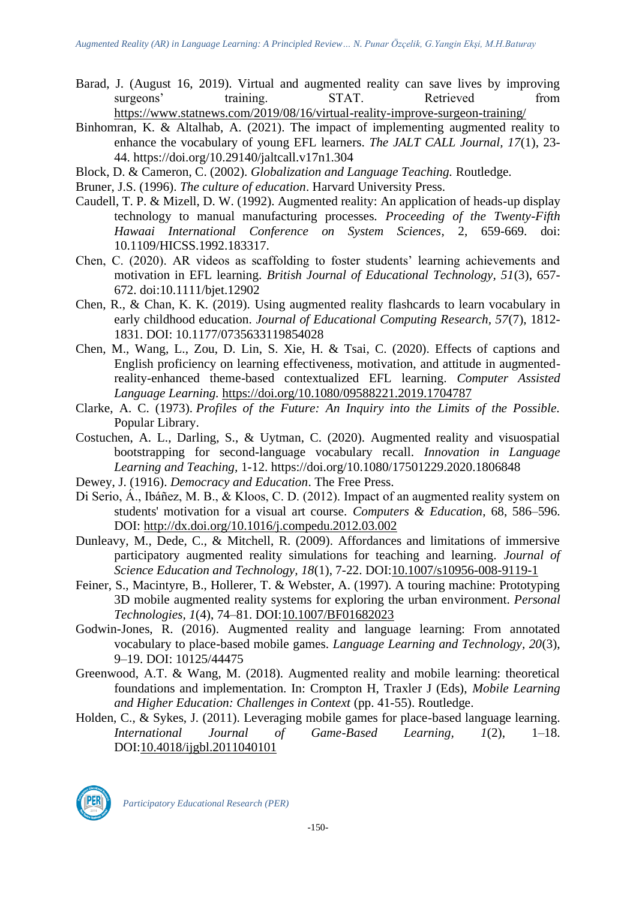- Barad, J. (August 16, 2019). Virtual and augmented reality can save lives by improving surgeons' training. STAT. Retrieved from <https://www.statnews.com/2019/08/16/virtual-reality-improve-surgeon-training/>
- Binhomran, K. & Altalhab, A. (2021). The impact of implementing augmented reality to enhance the vocabulary of young EFL learners. *The JALT CALL Journal, 17*(1), 23- 44. https://doi.org/10.29140/jaltcall.v17n1.304
- Block, D. & Cameron, C. (2002). *Globalization and Language Teaching.* Routledge.
- Bruner, J.S. (1996). *The culture of education*. Harvard University Press.
- Caudell, T. P. & Mizell, D. W. (1992). Augmented reality: An application of heads-up display technology to manual manufacturing processes. *Proceeding of the Twenty-Fifth Hawaai International Conference on System Sciences*, 2, 659-669. doi: 10.1109/HICSS.1992.183317.
- Chen, C. (2020). AR videos as scaffolding to foster students' learning achievements and motivation in EFL learning. *British Journal of Educational Technology, 51*(3), 657- 672. doi:10.1111/bjet.12902
- Chen, R., & Chan, K. K. (2019). Using augmented reality flashcards to learn vocabulary in early childhood education. *Journal of Educational Computing Research, 57*(7), 1812- 1831. DOI: 10.1177/0735633119854028
- Chen, M., Wang, L., Zou, D. Lin, S. Xie, H. & Tsai, C. (2020). Effects of captions and English proficiency on learning effectiveness, motivation, and attitude in augmentedreality-enhanced theme-based contextualized EFL learning. *Computer Assisted Language Learning.* <https://doi.org/10.1080/09588221.2019.1704787>
- Clarke, A. C. (1973). *Profiles of the Future: An Inquiry into the Limits of the Possible.* Popular Library.
- Costuchen, A. L., Darling, S., & Uytman, C. (2020). Augmented reality and visuospatial bootstrapping for second-language vocabulary recall. *Innovation in Language Learning and Teaching,* 1-12. https://doi.org/10.1080/17501229.2020.1806848
- Dewey, J. (1916). *Democracy and Education*. The Free Press.
- Di Serio, Á., Ibáñez, M. B., & Kloos, C. D. (2012). Impact of an augmented reality system on students' motivation for a visual art course. *Computers & Education*, 68, 586–596. DOI:<http://dx.doi.org/10.1016/j.compedu.2012.03.002>
- Dunleavy, M., Dede, C., & Mitchell, R. (2009). Affordances and limitations of immersive participatory augmented reality simulations for teaching and learning. *Journal of Science Education and Technology, 18*(1), 7-22. DOI[:10.1007/s10956-008-9119-1](http://dx.doi.org/10.1007/s10956-008-9119-1)
- Feiner, S., Macintyre, B., Hollerer, T. & Webster, A. (1997). A touring machine: Prototyping 3D mobile augmented reality systems for exploring the urban environment. *Personal Technologies, 1*(4), 74–81. DOI[:10.1007/BF01682023](http://dx.doi.org/10.1007/BF01682023)
- Godwin-Jones, R. (2016). Augmented reality and language learning: From annotated vocabulary to place-based mobile games. *Language Learning and Technology, 20*(3), 9–19. DOI: 10125/44475
- Greenwood, A.T. & Wang, M. (2018). Augmented reality and mobile learning: theoretical foundations and implementation. In: Crompton H, Traxler J (Eds), *Mobile Learning and Higher Education: Challenges in Context* (pp. 41-55). Routledge.
- Holden, C., & Sykes, J. (2011). Leveraging mobile games for place-based language learning. *International Journal of Game-Based Learning, 1*(2), 1–18. DOI[:10.4018/ijgbl.2011040101](http://dx.doi.org/10.4018/ijgbl.2011040101)

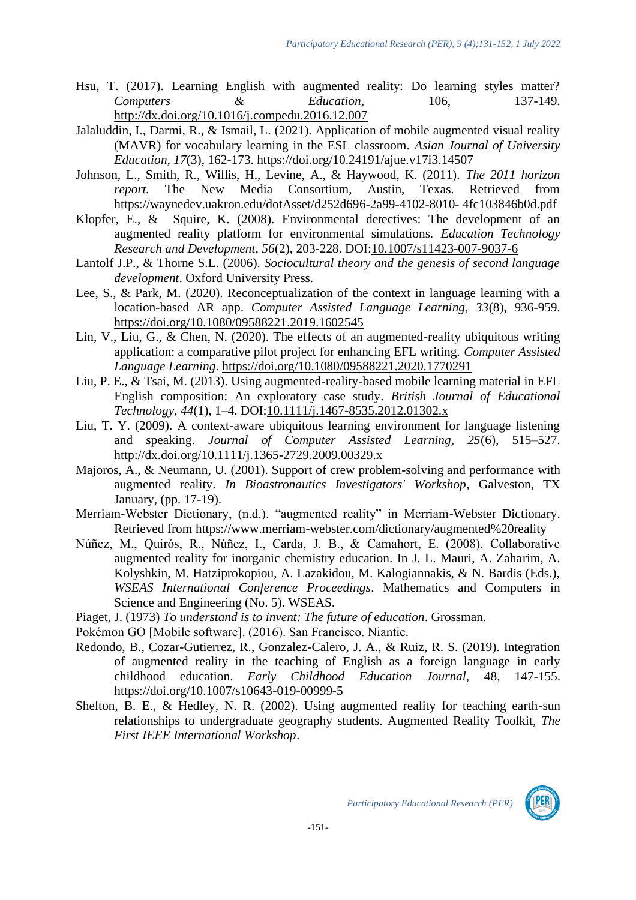- Hsu, T. (2017). Learning English with augmented reality: Do learning styles matter? *Computers* & *Education*, 106, 137-149. <http://dx.doi.org/10.1016/j.compedu.2016.12.007>
- Jalaluddin, I., Darmi, R., & Ismail, L. (2021). Application of mobile augmented visual reality (MAVR) for vocabulary learning in the ESL classroom. *Asian Journal of University Education, 17*(3), 162-173. https://doi.org/10.24191/ajue.v17i3.14507
- Johnson, L., Smith, R., Willis, H., Levine, A., & Haywood, K. (2011). *The 2011 horizon report.* The New Media Consortium, Austin, Texas. Retrieved from https://waynedev.uakron.edu/dotAsset/d252d696-2a99-4102-8010- 4fc103846b0d.pdf
- Klopfer, E., & Squire, K. (2008). Environmental detectives: The development of an augmented reality platform for environmental simulations. *Education Technology Research and Development, 56*(2), 203-228. DOI[:10.1007/s11423-007-9037-6](http://dx.doi.org/10.1007/s11423-007-9037-6)
- Lantolf J.P., & Thorne S.L. (2006). *Sociocultural theory and the genesis of second language development*. Oxford University Press.
- Lee, S., & Park, M. (2020). Reconceptualization of the context in language learning with a location-based AR app. *Computer Assisted Language Learning, 33*(8), 936-959. <https://doi.org/10.1080/09588221.2019.1602545>
- Lin, V., Liu, G., & Chen, N. (2020). The effects of an augmented-reality ubiquitous writing application: a comparative pilot project for enhancing EFL writing. *Computer Assisted Language Learning*.<https://doi.org/10.1080/09588221.2020.1770291>
- Liu, P. E., & Tsai, M. (2013). Using augmented-reality-based mobile learning material in EFL English composition: An exploratory case study*. British Journal of Educational Technology, 44*(1), 1–4. DOI[:10.1111/j.1467-8535.2012.01302.x](http://dx.doi.org/10.1111/j.1467-8535.2012.01302.x)
- Liu, T. Y. (2009). A context-aware ubiquitous learning environment for language listening and speaking. *Journal of Computer Assisted Learning, 25*(6), 515–527. <http://dx.doi.org/10.1111/j.1365-2729.2009.00329.x>
- Majoros, A., & Neumann, U. (2001). Support of crew problem-solving and performance with augmented reality. *In Bioastronautics Investigators' Workshop*, Galveston, TX January, (pp. 17-19).
- Merriam-Webster Dictionary, (n.d.). "augmented reality" in Merriam-Webster Dictionary. Retrieved from<https://www.merriam-webster.com/dictionary/augmented%20reality>
- Núñez, M., Quirós, R., Núñez, I., Carda, J. B., & Camahort, E. (2008). Collaborative augmented reality for inorganic chemistry education. In J. L. Mauri, A. Zaharim, A. Kolyshkin, M. Hatziprokopiou, A. Lazakidou, M. Kalogiannakis, & N. Bardis (Eds.), *WSEAS International Conference Proceedings*. Mathematics and Computers in Science and Engineering (No. 5). WSEAS.
- Piaget, J. (1973) *To understand is to invent: The future of education*. Grossman.
- Pokémon GO [Mobile software]. (2016). San Francisco. Niantic.
- Redondo, B., Cozar-Gutierrez, R., Gonzalez-Calero, J. A., & Ruiz, R. S. (2019). Integration of augmented reality in the teaching of English as a foreign language in early childhood education. *Early Childhood Education Journal,* 48, 147-155. https://doi.org/10.1007/s10643-019-00999-5
- Shelton, B. E., & Hedley, N. R. (2002). Using augmented reality for teaching earth-sun relationships to undergraduate geography students. Augmented Reality Toolkit, *The First IEEE International Workshop*.